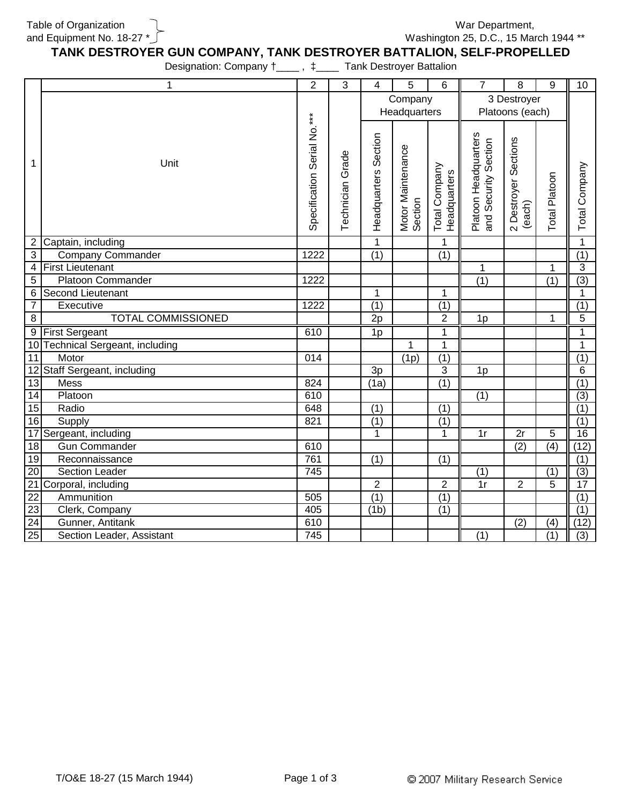Table of Organization and Equipment No. 18-27 \* Washington 25, D.C., 15 March 1944 \*\* War Department,

**TANK DESTROYER GUN COMPANY, TANK DESTROYER BATTALION, SELF-PROPELLED**

Designation: Company  $\dagger$ \_\_\_\_,  $\dagger$ \_\_\_\_ Tank Destroyer Battalion

|                 | 1                                | $\overline{2}$              | 3                       | $\overline{4}$       | 5                            | 6                                    | $\overline{7}$                               | 8                              | $\overline{9}$   | 10               |
|-----------------|----------------------------------|-----------------------------|-------------------------|----------------------|------------------------------|--------------------------------------|----------------------------------------------|--------------------------------|------------------|------------------|
|                 |                                  |                             |                         | Company              |                              |                                      | 3 Destroyer                                  |                                |                  |                  |
|                 |                                  |                             |                         | Headquarters         |                              |                                      | Platoons (each)                              |                                |                  |                  |
| 1               | Unit                             | Specification Serial No.*** | <b>Technician Grade</b> | Headquarters Section | Motor Maintenance<br>Section | <b>Total Company</b><br>Headquarters | Platoon Headquarters<br>and Security Section | 2 Destroyer Sections<br>(each) | Total Platoon    | Total Company    |
| $\overline{2}$  | Captain, including               |                             |                         | 1                    |                              | 1                                    |                                              |                                |                  | $\mathbf{1}$     |
| 3               | <b>Company Commander</b>         | 1222                        |                         | $\overline{(1)}$     |                              | $\overline{(1)}$                     |                                              |                                |                  | $\overline{(1)}$ |
| 4               | <b>First Lieutenant</b>          |                             |                         |                      |                              |                                      | $\mathbf 1$                                  |                                | 1                | $\overline{3}$   |
| 5               | <b>Platoon Commander</b>         | 1222                        |                         |                      |                              |                                      | $\overline{(1)}$                             |                                | $\overline{(1)}$ | $\overline{(3)}$ |
| $\,6\,$         | Second Lieutenant                |                             |                         | 1                    |                              | $\mathbf 1$                          |                                              |                                |                  | $\mathbf{1}$     |
| $\overline{7}$  | Executive                        | 1222                        |                         | $\overline{(1)}$     |                              | $\overline{(1)}$                     |                                              |                                |                  | (1)              |
| 8               | <b>TOTAL COMMISSIONED</b>        |                             |                         | 2p                   |                              | $\overline{2}$                       | 1p                                           |                                | $\mathbf 1$      | 5                |
|                 | 9 First Sergeant                 | 610                         |                         | 1p                   |                              | 1                                    |                                              |                                |                  | $\mathbf{1}$     |
|                 | 10 Technical Sergeant, including |                             |                         |                      | 1                            | 1                                    |                                              |                                |                  | $\mathbf 1$      |
| $\overline{11}$ | Motor                            | $\overline{014}$            |                         |                      | (1p)                         | $\overline{(1)}$                     |                                              |                                |                  | $\overline{(1)}$ |
|                 | 12 Staff Sergeant, including     |                             |                         | 3p                   |                              | 3                                    | 1p                                           |                                |                  | 6                |
| $\overline{13}$ | <b>Mess</b>                      | $\overline{824}$            |                         | (1a)                 |                              | (1)                                  |                                              |                                |                  | (1)              |
| $\overline{14}$ | Platoon                          | 610                         |                         |                      |                              |                                      | $\overline{(1)}$                             |                                |                  | $\overline{(3)}$ |
| 15              | Radio                            | 648                         |                         | $\overline{(1)}$     |                              | (1)                                  |                                              |                                |                  | (1)              |
| 16              | Supply                           | 821                         |                         | $\overline{(1)}$     |                              | $\overline{(1)}$                     |                                              |                                |                  | (1)              |
|                 | 17 Sergeant, including           |                             |                         | $\overline{1}$       |                              | $\mathbf{1}$                         | $\overline{1}$ r                             | $\overline{2r}$                | 5                | 16               |
| 18              | <b>Gun Commander</b>             | 610                         |                         |                      |                              |                                      |                                              | $\overline{(2)}$               | $\overline{(4)}$ | (12)             |
| 19              | Reconnaissance                   | 761                         |                         | $\overline{(1)}$     |                              | $\overline{(1)}$                     |                                              |                                |                  | $\overline{(1)}$ |
| 20              | <b>Section Leader</b>            | 745                         |                         |                      |                              |                                      | $\overline{(1)}$                             |                                | (1)              | $\overline{(3)}$ |
|                 | 21 Corporal, including           |                             |                         | $\overline{2}$       |                              | $\overline{2}$                       | 1r                                           | $\overline{2}$                 | 5                | 17               |
| $\overline{22}$ | Ammunition                       | 505                         |                         | (1)                  |                              | (1)                                  |                                              |                                |                  | (1)              |
| $\overline{23}$ | Clerk, Company                   | 405                         |                         | (1b)                 |                              | (1)                                  |                                              |                                |                  | (1)              |
| $\overline{24}$ | Gunner, Antitank                 | 610                         |                         |                      |                              |                                      |                                              | $\overline{(2)}$               | (4)              | (12)             |
| $\overline{25}$ | Section Leader, Assistant        | 745                         |                         |                      |                              |                                      | $\overline{(1)}$                             |                                | (1)              | $\overline{(3)}$ |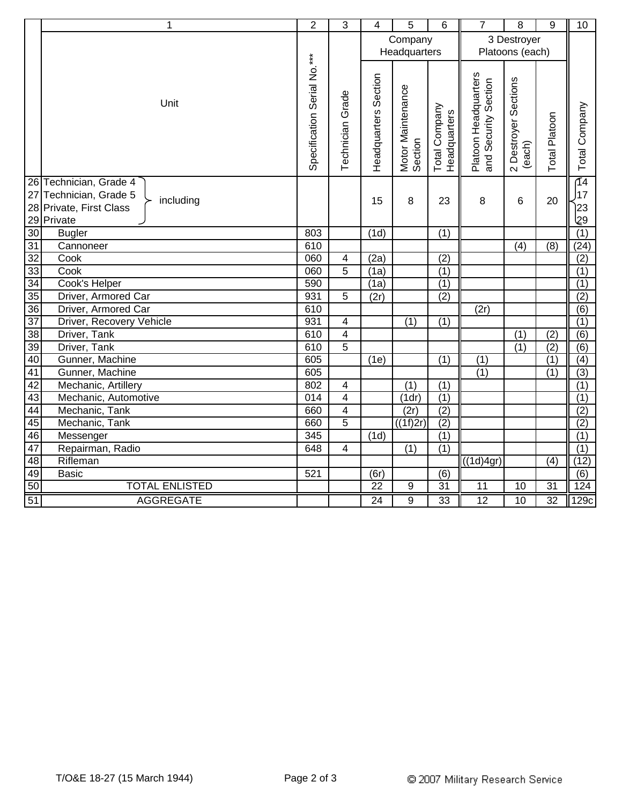|                       | 1                                   | $\overline{2}$              | 3                            | 4                    | 5                            | 6                             | $\overline{7}$                               | 8                              | 9                | 10                      |
|-----------------------|-------------------------------------|-----------------------------|------------------------------|----------------------|------------------------------|-------------------------------|----------------------------------------------|--------------------------------|------------------|-------------------------|
|                       |                                     |                             |                              | Company              |                              |                               | 3 Destroyer                                  |                                |                  |                         |
|                       |                                     |                             |                              | Headquarters         |                              |                               | Platoons (each)                              |                                |                  |                         |
|                       | Unit                                | Specification Serial No.*** | <b>Technician Grade</b>      | Headquarters Section | Motor Maintenance<br>Section | Total Company<br>Headquarters | Platoon Headquarters<br>and Security Section | 2 Destroyer Sections<br>(each) | Platoon<br>Total | Total Company           |
|                       | 26 Technician, Grade 4              |                             |                              |                      |                              |                               |                                              |                                |                  | $\overline{14}$         |
|                       | 27 Technician, Grade 5<br>including |                             |                              | 15                   | 8                            | 23                            | 8                                            | 6                              | 20               | 17                      |
| 28                    | Private, First Class                |                             |                              |                      |                              |                               |                                              |                                |                  | 23                      |
|                       | 29 Private                          |                             |                              |                      |                              |                               |                                              |                                |                  | وجا                     |
| 30                    | <b>Bugler</b>                       | 803                         |                              | (1d)                 |                              | $\overline{(1)}$              |                                              |                                |                  | $\overline{(1)}$        |
| $\overline{31}$       | Cannoneer                           | 610                         |                              |                      |                              |                               |                                              | $\overline{(4)}$               | $\overline{(8)}$ | (24)                    |
| $\overline{32}$       | Cook<br>Cook                        | 060<br>060                  | $\overline{\mathbf{4}}$<br>5 | (2a)                 |                              | (2)                           |                                              |                                |                  | (2)                     |
| 33<br>$\overline{34}$ | Cook's Helper                       | 590                         |                              | (1a)<br>(1a)         |                              | (1)<br>(1)                    |                                              |                                |                  | $\overline{(1)}$<br>(1) |
| $\overline{35}$       | Driver, Armored Car                 | 931                         | 5                            | (2r)                 |                              | (2)                           |                                              |                                |                  | (2)                     |
| 36                    | Driver, Armored Car                 | 610                         |                              |                      |                              |                               | (2r)                                         |                                |                  | $\overline{(6)}$        |
| $\overline{37}$       | Driver, Recovery Vehicle            | 931                         | $\overline{\mathcal{A}}$     |                      | (1)                          | (1)                           |                                              |                                |                  | $\overline{(1)}$        |
| $\overline{38}$       | Driver, Tank                        | 610                         | $\overline{4}$               |                      |                              |                               |                                              | (1)                            | (2)              | $\overline{(6)}$        |
| 39                    | Driver, Tank                        | 610                         | $\overline{5}$               |                      |                              |                               |                                              | $\overline{(1)}$               | $\overline{(2)}$ | $\overline{(6)}$        |
| 40                    | Gunner, Machine                     | 605                         |                              | (1e)                 |                              | (1)                           | (1)                                          |                                | (1)              | (4)                     |
| $\overline{41}$       | Gunner, Machine                     | 605                         |                              |                      |                              |                               | (1)                                          |                                | (1)              | (3)                     |
| 42                    | Mechanic, Artillery                 | 802                         | $\overline{\mathcal{A}}$     |                      | (1)                          | (1)                           |                                              |                                |                  | (1)                     |
| 43                    | Mechanic, Automotive                | $\overline{014}$            | $\overline{4}$               |                      | (1 <sup>d</sup> )            | (1)                           |                                              |                                |                  | $\overline{(1)}$        |
| 44                    | Mechanic, Tank                      | 660                         | $\overline{4}$               |                      | (2r)                         | (2)                           |                                              |                                |                  | $\overline{(2)}$        |
| 45                    | Mechanic, Tank                      | 660                         | $\overline{5}$               |                      | (1f)2r)                      | $\overline{2}$                |                                              |                                |                  | $\overline{(2)}$        |
| 46                    | Messenger                           | 345                         |                              | $\overline{(1d)}$    |                              | $\overline{(1)}$              |                                              |                                |                  | $\overline{(1)}$        |
| 47                    | Repairman, Radio                    | 648                         | $\overline{4}$               |                      | (1)                          | (1)                           |                                              |                                |                  | (1)                     |
| $\overline{48}$       | Rifleman                            |                             |                              |                      |                              |                               | ((1d)4gr)                                    |                                | (4)              | (12)                    |
| 49                    | <b>Basic</b>                        | 521                         |                              | (6r)                 |                              | (6)                           |                                              |                                |                  | (6)                     |
| 50                    | <b>TOTAL ENLISTED</b>               |                             |                              | $\overline{22}$      | 9                            | $\overline{31}$               | $\overline{11}$                              | 10                             | $\overline{31}$  | 124                     |
| 51                    | <b>AGGREGATE</b>                    |                             |                              | $\overline{24}$      | $\overline{9}$               | $\overline{33}$               | $\overline{12}$                              | $\overline{10}$                | $\overline{32}$  | 129c                    |